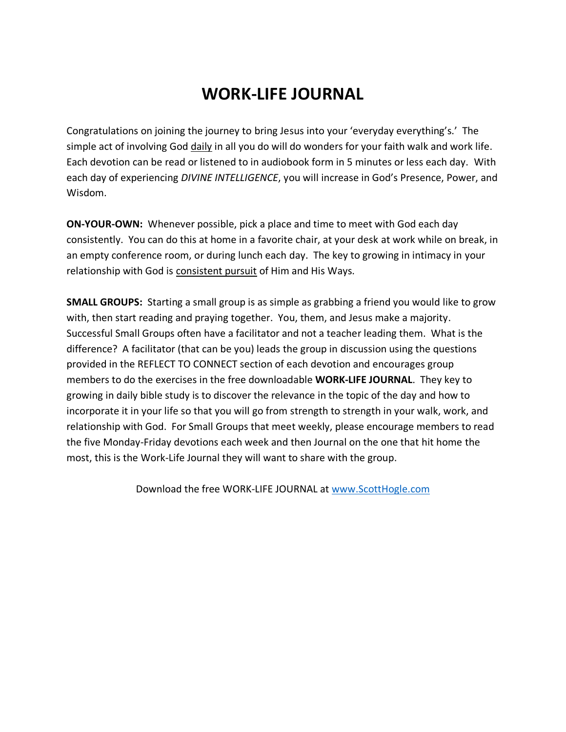## **WORK-LIFE JOURNAL**

Congratulations on joining the journey to bring Jesus into your 'everyday everything's.' The simple act of involving God daily in all you do will do wonders for your faith walk and work life. Each devotion can be read or listened to in audiobook form in 5 minutes or less each day. With each day of experiencing *DIVINE INTELLIGENCE*, you will increase in God's Presence, Power, and Wisdom.

**ON-YOUR-OWN:** Whenever possible, pick a place and time to meet with God each day consistently. You can do this at home in a favorite chair, at your desk at work while on break, in an empty conference room, or during lunch each day. The key to growing in intimacy in your relationship with God is consistent pursuit of Him and His Ways.

**SMALL GROUPS:** Starting a small group is as simple as grabbing a friend you would like to grow with, then start reading and praying together. You, them, and Jesus make a majority. Successful Small Groups often have a facilitator and not a teacher leading them. What is the difference? A facilitator (that can be you) leads the group in discussion using the questions provided in the REFLECT TO CONNECT section of each devotion and encourages group members to do the exercises in the free downloadable **WORK-LIFE JOURNAL**. They key to growing in daily bible study is to discover the relevance in the topic of the day and how to incorporate it in your life so that you will go from strength to strength in your walk, work, and relationship with God. For Small Groups that meet weekly, please encourage members to read the five Monday-Friday devotions each week and then Journal on the one that hit home the most, this is the Work-Life Journal they will want to share with the group.

Download the free WORK-LIFE JOURNAL at [www.ScottHogle.com](http://www.scotthogle.com/)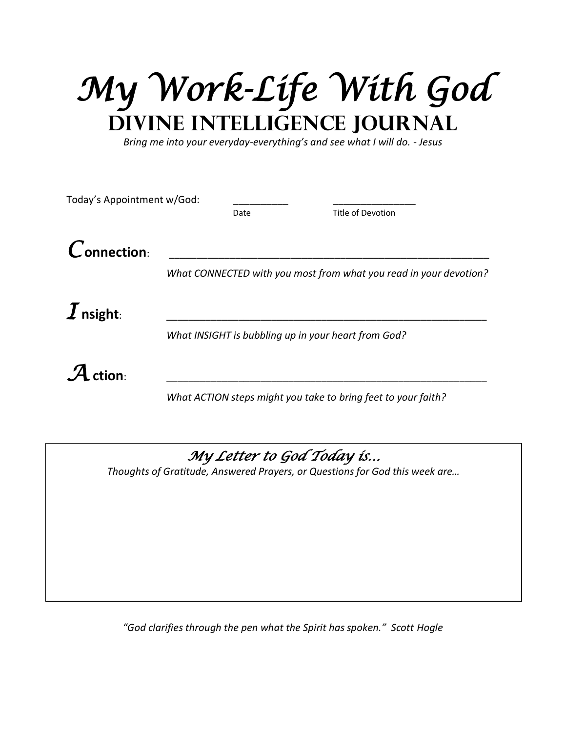*My Work-Life With God*  **Divine Intelligence Journal**

*Bring me into your everyday-everything's and see what I will do. - Jesus*

| Today's Appointment w/God:  |                                                     |      |                                                                   |  |
|-----------------------------|-----------------------------------------------------|------|-------------------------------------------------------------------|--|
|                             |                                                     | Date | <b>Title of Devotion</b>                                          |  |
| $\boldsymbol{C}$ onnection: |                                                     |      |                                                                   |  |
|                             |                                                     |      | What CONNECTED with you most from what you read in your devotion? |  |
|                             |                                                     |      |                                                                   |  |
| $\boldsymbol{I}$ nsight:    |                                                     |      |                                                                   |  |
|                             | What INSIGHT is bubbling up in your heart from God? |      |                                                                   |  |
|                             |                                                     |      |                                                                   |  |
| $\mathcal A$ ction:         |                                                     |      |                                                                   |  |
|                             |                                                     |      | What ACTION steps might you take to bring feet to your faith?     |  |
|                             |                                                     |      |                                                                   |  |

## *My Letter to God Today is…*

*Thoughts of Gratitude, Answered Prayers, or Questions for God this week are…*

*"God clarifies through the pen what the Spirit has spoken." Scott Hogle*